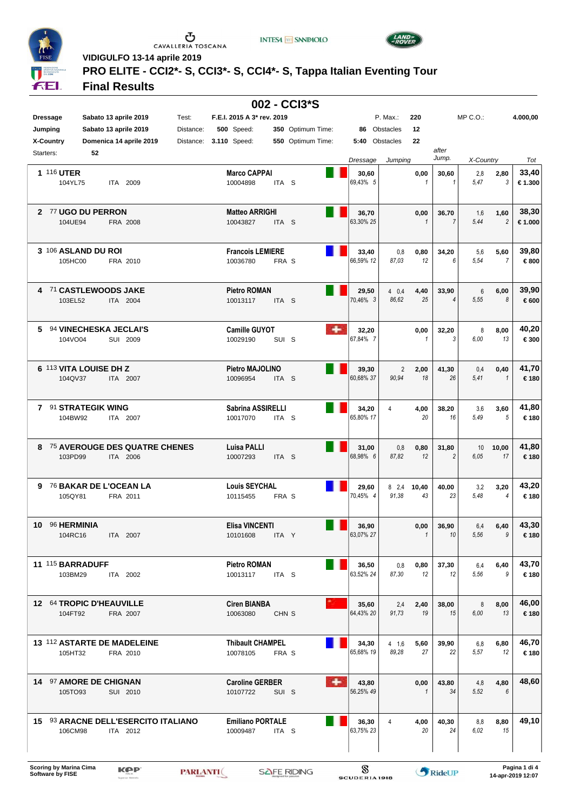

 $\begin{array}{c}\n\bullet \\
\bullet \\
\bullet \\
\bullet\n\end{array}$  CAVALLERIA TOSCANA

**INTESA M** SNNPAOLO



**VIDIGULFO 13-14 aprile 2019**

# **PRO ELITE - CCI2\*- S, CCI3\*- S, CCI4\*- S, Tappa Italian Eventing Tour**

### **Final Results**

| 002 - CCI3*S               |                                                            |                    |                                                 |                  |                   |   |                    |                          |                      |                         |              |                        |                 |
|----------------------------|------------------------------------------------------------|--------------------|-------------------------------------------------|------------------|-------------------|---|--------------------|--------------------------|----------------------|-------------------------|--------------|------------------------|-----------------|
| <b>Dressage</b><br>Jumping | Sabato 13 aprile 2019<br>Sabato 13 aprile 2019             | Test:<br>Distance: | F.E.I. 2015 A 3* rev. 2019<br><b>500</b> Speed: |                  | 350 Optimum Time: |   |                    | P. Max.:<br>86 Obstacles | 220<br>12            |                         | $MP C. O.$ : |                        | 4.000,00        |
| X-Country<br>Starters:     | Domenica 14 aprile 2019                                    | Distance:          | <b>3.110 Speed:</b>                             |                  | 550 Optimum Time: |   | 5:40 Obstacles     |                          | 22                   | after                   |              |                        |                 |
|                            | 52                                                         |                    |                                                 |                  |                   |   | Dressage           | Jumping                  |                      | Jump.                   | X-Country    |                        | Tot             |
| <b>1 116 UTER</b>          | 104YL75<br>ITA 2009                                        |                    | <b>Marco CAPPAI</b><br>10004898                 | ITA <sub>S</sub> |                   |   | 30,60<br>69,43% 5  |                          | 0,00<br>$\mathbf{1}$ | 30,60<br>$\mathbf{1}$   | 2,8<br>5.47  | 2,80<br>3              | 33,40<br>€1.300 |
|                            | 2 77 UGO DU PERRON<br>104UE94<br>FRA 2008                  |                    | <b>Matteo ARRIGHI</b><br>10043827               | ITA S            |                   |   | 36,70<br>63,30% 25 |                          | 0,00<br>$\mathbf{1}$ | 36,70<br>$\overline{7}$ | 1,6<br>5,44  | 1,60<br>$\overline{2}$ | 38,30<br>€1.000 |
|                            | 3 106 ASLAND DU ROI<br>105HC00<br>FRA 2010                 |                    | <b>Francois LEMIERE</b><br>10036780             | FRA S            |                   |   | 33,40<br>66,59% 12 | 0,8<br>87,03             | 0,80<br>12           | 34,20<br>6              | 5,6<br>5,54  | 5,60<br>$\overline{7}$ | 39,80<br>€800   |
|                            | 4 71 CASTLEWOODS JAKE<br>103EL52<br>ITA 2004               |                    | <b>Pietro ROMAN</b><br>10013117                 | ITA <sub>S</sub> |                   |   | 29,50<br>70,46% 3  | 40,4<br>86.62            | 4,40<br>25           | 33,90<br>4              | 6<br>5,55    | 6,00<br>8              | 39,90<br>€600   |
| 5                          | 94 VINECHESKA JECLAI'S<br>104VO04<br>SUI 2009              |                    | <b>Camille GUYOT</b><br>10029190                | SUI S            |                   | ٠ | 32,20<br>67,84% 7  |                          | 0,00<br>1            | 32,20<br>3              | 8<br>6,00    | 8,00<br>13             | 40,20<br>€300   |
|                            | 6 113 VITA LOUISE DH Z<br>104QV37<br>ITA 2007              |                    | <b>Pietro MAJOLINO</b><br>10096954              | ITA <sub>S</sub> |                   |   | 39,30<br>60,68% 37 | 2<br>90,94               | 2,00<br>18           | 41,30<br>26             | 0,4<br>5,41  | 0,40<br>$\mathbf{1}$   | 41,70<br>€180   |
|                            | 7 91 STRATEGIK WING<br>104BW92<br>ITA 2007                 |                    | Sabrina ASSIRELLI<br>10017070                   | ITA S            |                   |   | 34,20<br>65,80% 17 | 4                        | 4,00<br>20           | 38,20<br>16             | 3,6<br>5,49  | 3,60<br>5              | 41,80<br>€180   |
|                            | 8 75 AVEROUGE DES QUATRE CHENES<br>103PD99<br>ITA 2006     |                    | Luisa PALLI<br>10007293                         | ITA <sub>S</sub> |                   |   | 31,00<br>68,98% 6  | 0,8<br>87,82             | 0,80<br>12           | 31,80<br>$\overline{2}$ | 10<br>6.05   | 10,00<br>17            | 41,80<br>€180   |
| 9                          | 76 BAKAR DE L'OCEAN LA<br>105QY81<br>FRA 2011              |                    | <b>Louis SEYCHAL</b><br>10115455                | FRA S            |                   |   | 29,60<br>70,45% 4  | 8, 2, 4<br>91,38         | 10,40<br>43          | 40,00<br>23             | 3,2<br>5,48  | 3,20<br>$\overline{4}$ | 43,20<br>€180   |
|                            | 10 96 HERMINIA<br>104RC16<br>ITA 2007                      |                    | Elisa VINCENTI<br>10101608                      | ITA Y            |                   |   | 36,90<br>63,07% 27 |                          | 0,00<br>$\mathbf{1}$ | 36.90<br>10             | 6.4<br>5,56  | 6,40<br>9              | 43,30<br>€180   |
|                            | 11 115 BARRADUFF<br>103BM29<br>ITA 2002                    |                    | Pietro ROMAN<br>10013117                        | ITA S            |                   |   | 36,50<br>63,52% 24 | 0,8<br>87,30             | 0,80<br>12           | 37,30<br>12             | 6,4<br>5,56  | 6,40<br>9              | 43,70<br>€180   |
|                            | 12 64 TROPIC D'HEAUVILLE<br>104FT92<br>FRA 2007            |                    | <b>Ciren BIANBA</b><br>10063080                 | CHN <sub>S</sub> |                   |   | 35,60<br>64,43% 20 | 2,4<br>91,73             | 2,40<br>19           | 38,00<br>15             | 8<br>6.00    | 8,00<br>13             | 46,00<br>€180   |
|                            | 13 112 ASTARTE DE MADELEINE<br>105HT32<br>FRA 2010         |                    | <b>Thibault CHAMPEL</b><br>10078105             | FRA S            |                   |   | 34,30<br>65,68% 19 | $4 \t1,6$<br>89.28       | 5,60<br>27           | 39,90<br>22             | 6,8<br>5.57  | 6,80<br>12             | 46,70<br>€180   |
|                            | 14 97 AMORE DE CHIGNAN<br>105TO93<br>SUI 2010              |                    | <b>Caroline GERBER</b><br>10107722              | SUI S            |                   | ۰ | 43,80<br>56,25% 49 |                          | 0,00<br>$\mathbf{1}$ | 43,80<br>34             | 4,8<br>5.52  | 4,80<br>6              | 48,60           |
|                            | 15 93 ARACNE DELL'ESERCITO ITALIANO<br>106CM98<br>ITA 2012 |                    | <b>Emiliano PORTALE</b><br>10009487             | ITA <sub>S</sub> |                   |   | 36,30<br>63,75% 23 |                          | 4,00<br>20           | 40,30<br>24             | 8,8<br>6.02  | 8,80<br>15             | 49,10           |
|                            |                                                            |                    |                                                 |                  |                   |   |                    |                          |                      |                         |              |                        |                 |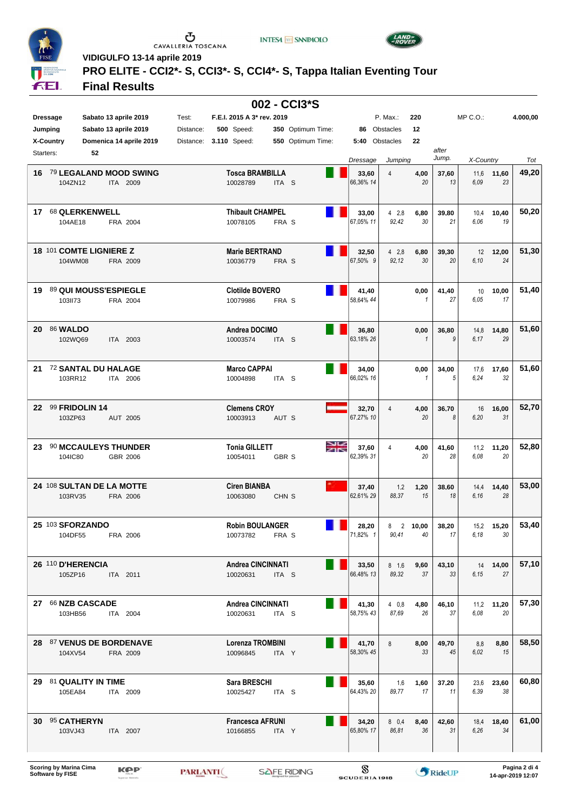

 $\begin{array}{c}\n\bullet \\
\bullet \\
\bullet \\
\bullet\n\end{array}$  CAVALLERIA TOSCANA

**INTESA M** SNNPAOLO



**VIDIGULFO 13-14 aprile 2019**

# **PRO ELITE - CCI2\*- S, CCI3\*- S, CCI4\*- S, Tappa Italian Eventing Tour**

## **Final Results**

| 002 - CCI3*S    |                                        |          |                         |           |  |                                      |                  |                   |    |                    |                      |                      |             |              |                  |          |
|-----------------|----------------------------------------|----------|-------------------------|-----------|--|--------------------------------------|------------------|-------------------|----|--------------------|----------------------|----------------------|-------------|--------------|------------------|----------|
| <b>Dressage</b> |                                        |          | Sabato 13 aprile 2019   | Test:     |  | F.E.I. 2015 A 3* rev. 2019           |                  |                   |    |                    | P. Max.:             | 220                  |             | $MP C. O.$ : |                  | 4.000,00 |
| Jumping         |                                        |          | Sabato 13 aprile 2019   | Distance: |  | <b>500</b> Speed:                    |                  | 350 Optimum Time: |    | 86                 | Obstacles            | 12                   |             |              |                  |          |
| X-Country       |                                        |          | Domenica 14 aprile 2019 | Distance: |  | 3.110 Speed:                         |                  | 550 Optimum Time: |    |                    | 5:40 Obstacles       | 22                   |             |              |                  |          |
| Starters:       | 52                                     |          |                         |           |  |                                      |                  |                   |    |                    |                      |                      | after       |              |                  |          |
|                 |                                        |          |                         |           |  |                                      |                  |                   |    | Dressage           | Jumping              |                      | Jump.       | X-Country    |                  | Tot      |
| 16              | 79 LEGALAND MOOD SWING<br>104ZN12      |          | ITA 2009                |           |  | <b>Tosca BRAMBILLA</b><br>10028789   | ITA <sub>S</sub> |                   |    | 33,60<br>66,36% 14 | 4                    | 4,00<br>20           | 37,60<br>13 | 11,6<br>6.09 | 11,60<br>23      | 49,20    |
|                 | 17 68 QLERKENWELL<br>104AE18           |          | FRA 2004                |           |  | <b>Thibault CHAMPEL</b><br>10078105  | FRA S            |                   |    | 33,00<br>67,05% 11 | 42,8<br>92,42        | 6,80<br>30           | 39,80<br>21 | 10,4<br>6.06 | 10,40<br>19      | 50,20    |
|                 | 18 101 COMTE LIGNIERE Z<br>104WM08     |          | FRA 2009                |           |  | <b>Marie BERTRAND</b><br>10036779    | FRA S            |                   |    | 32,50<br>67,50% 9  | 42.8<br>92,12        | 6,80<br>30           | 39,30<br>20 | 12<br>6,10   | 12,00<br>24      | 51,30    |
| 19              | 89 QUI MOUSS'ESPIEGLE<br>103II73       |          | FRA 2004                |           |  | <b>Clotilde BOVERO</b><br>10079986   | FRA S            |                   |    | 41,40<br>58,64% 44 |                      | 0,00<br>$\mathbf{1}$ | 41,40<br>27 | 10<br>6.05   | 10,00<br>17      | 51,40    |
| 20              | <b>86 WALDO</b><br>102WQ69             |          | ITA 2003                |           |  | Andrea DOCIMO<br>10003574            | ITA <sub>S</sub> |                   |    | 36,80<br>63,18% 26 |                      | 0,00<br>$\mathbf{1}$ | 36,80<br>9  | 14,8<br>6.17 | 14,80<br>29      | 51,60    |
| 21              | 72 SANTAL DU HALAGE<br>103RR12         |          | ITA 2006                |           |  | <b>Marco CAPPAI</b><br>10004898      | ITA <sub>S</sub> |                   |    | 34,00<br>66,02% 16 |                      | 0,00<br>$\mathbf{1}$ | 34,00<br>5  | 17,6<br>6.24 | 17,60<br>32      | 51,60    |
| 22              | 99 FRIDOLIN 14<br>103ZP63              |          | AUT 2005                |           |  | <b>Clemens CROY</b><br>10003913      | AUT S            |                   |    | 32,70<br>67,27% 10 | 4                    | 4,00<br>20           | 36,70<br>8  | 16<br>6.20   | 16,00<br>31      | 52,70    |
| 23              | <b>90 MCCAULEYS THUNDER</b><br>104IC80 |          | GBR 2006                |           |  | <b>Tonia GILLETT</b><br>10054011     | GBR S            |                   | እጅ | 37,60<br>62,39% 31 | $\overline{4}$       | 4,00<br>20           | 41,60<br>28 | 11.2<br>6.08 | 11,20<br>20      | 52,80    |
|                 | 24 108 SULTAN DE LA MOTTE<br>103RV35   |          | FRA 2006                |           |  | <b>Ciren BIANBA</b><br>10063080      | CHN <sub>S</sub> |                   |    | 37,40<br>62.61% 29 | 1,2<br>88,37         | 1,20<br>15           | 38,60<br>18 | 14,4<br>6.16 | 14,40<br>28      | 53,00    |
|                 | 25 103 SFORZANDO<br>104DF55            |          | FRA 2006                |           |  | <b>Robin BOULANGER</b><br>10073782   | FRA S            |                   |    | 28,20<br> 71.82% 1 | 8<br>90,41           | 2 10,00<br>40        | 38,20<br>17 | 6.18         | 15,2 15,20<br>30 | 53,40    |
|                 | 26 110 D'HERENCIA<br>105ZP16           | ITA 2011 |                         |           |  | <b>Andrea CINCINNATI</b><br>10020631 | ITA <sub>S</sub> |                   |    | 33,50<br>66,48% 13 | $8 \t1,6$<br>89,32   | 9,60<br>37           | 43,10<br>33 | 6.15         | 14 14,00<br>27   | 57,10    |
|                 | 27 66 NZB CASCADE<br>103HB56           |          | ITA 2004                |           |  | <b>Andrea CINCINNATI</b><br>10020631 | ITA <sub>S</sub> |                   |    | 41,30<br>58,75% 43 | 40.8<br>87.69        | 4,80<br>26           | 46,10<br>37 | 6.08         | 11,2 11,20<br>20 | 57,30    |
|                 | 28 87 VENUS DE BORDENAVE<br>104XV54    |          | FRA 2009                |           |  | Lorenza TROMBINI<br>10096845         | ITA Y            |                   |    | 41,70<br>58,30% 45 | 8                    | 8,00<br>33           | 49,70<br>45 | 8,8<br>6.02  | 8,80<br>15       | 58,50    |
|                 | 29 81 QUALITY IN TIME<br>105EA84       | ITA 2009 |                         |           |  | Sara BRESCHI<br>10025427             | ITA S            |                   |    | 35,60<br>64,43% 20 | 1,6<br>89,77         | 1,60<br>17           | 37,20<br>11 | 6.39         | 23,6 23,60<br>38 | 60,80    |
|                 | 30 95 CATHERYN<br>103VJ43              |          | ITA 2007                |           |  | <b>Francesca AFRUNI</b><br>10166855  | ITA Y            |                   |    | 34,20<br>65,80% 17 | $8\quad0.4$<br>86,81 | 8,40<br>36           | 42,60<br>31 | 6,26         | 18,4 18,40<br>34 | 61,00    |
|                 |                                        |          |                         |           |  |                                      |                  |                   |    |                    |                      |                      |             |              |                  |          |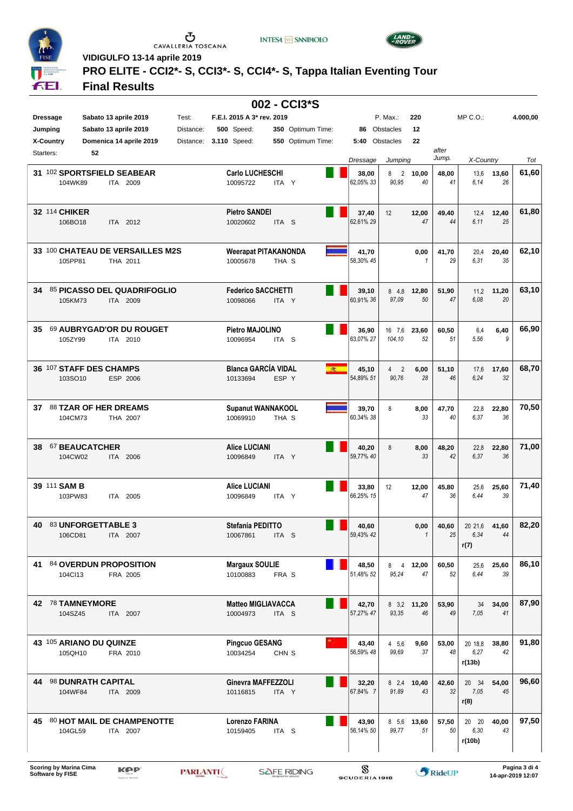

 $\begin{array}{c}\n\bullet \\
\bullet \\
\bullet \\
\bullet\n\end{array}$  CAVALLERIA TOSCANA

**INTESA M** SNNPAOLO



**VIDIGULFO 13-14 aprile 2019**

## **PRO ELITE - CCI2\*- S, CCI3\*- S, CCI4\*- S, Tappa Italian Eventing Tour**

### **Final Results**

| 002 - CCI3*S     |                                                         |           |                                         |                  |                   |                    |                              |                      |             |                               |             |          |
|------------------|---------------------------------------------------------|-----------|-----------------------------------------|------------------|-------------------|--------------------|------------------------------|----------------------|-------------|-------------------------------|-------------|----------|
| <b>Dressage</b>  | Sabato 13 aprile 2019                                   | Test:     | F.E.I. 2015 A 3* rev. 2019              |                  |                   |                    | P. Max.:                     | 220                  |             | $MP C. O.$ :                  |             | 4.000,00 |
| Jumping          | Sabato 13 aprile 2019                                   | Distance: | <b>500</b> Speed:                       |                  | 350 Optimum Time: |                    | 86 Obstacles                 | 12                   |             |                               |             |          |
| <b>X-Country</b> | Domenica 14 aprile 2019                                 | Distance: | <b>3.110 Speed:</b>                     |                  | 550 Optimum Time: |                    | 5:40 Obstacles               | 22                   |             |                               |             |          |
| Starters:        | 52                                                      |           |                                         |                  |                   |                    |                              |                      | after       |                               |             |          |
|                  |                                                         |           |                                         |                  |                   | Dressage           | Jumping                      |                      | Jump.       | X-Country                     |             | Tot      |
|                  | 31 102 SPORTSFIELD SEABEAR<br>104WK89<br>ITA 2009       |           | <b>Carlo LUCHESCHI</b><br>10095722      | ITA Y            |                   | 38,00<br>62,05% 33 | $\overline{2}$<br>8<br>90,95 | 10,00<br>40          | 48,00<br>41 | 13,6<br>6.14                  | 13,60<br>26 | 61,60    |
| 32 114 CHIKER    | 106BO18<br>ITA 2012                                     |           | <b>Pietro SANDEI</b><br>10020602        | ITA <sub>S</sub> |                   | 37,40<br>62,61% 29 | 12                           | 12,00<br>47          | 49,40<br>44 | 12,4<br>6.11                  | 12,40<br>25 | 61,80    |
|                  | 33 100 CHATEAU DE VERSAILLES M2S<br>105PP81<br>THA 2011 |           | <b>Weerapat PITAKANONDA</b><br>10005678 | THA S            |                   | 41,70<br>58,30% 45 |                              | 0,00<br>1            | 41,70<br>29 | 20,4<br>6,31                  | 20,40<br>35 | 62,10    |
| 34               | 85 PICASSO DEL QUADRIFOGLIO<br>105KM73<br>ITA 2009      |           | <b>Federico SACCHETTI</b><br>10098066   | ITA Y            |                   | 39,10<br>60,91% 36 | 84.8<br>97.09                | 12,80<br>50          | 51,90<br>47 | 11,2<br>6.08                  | 11,20<br>20 | 63,10    |
| 35               | 69 AUBRYGAD'OR DU ROUGET<br>105ZY99<br>ITA 2010         |           | <b>Pietro MAJOLINO</b><br>10096954      | ITA S            |                   | 36,90<br>63,07% 27 | 16 7,6<br>104,10             | 23,60<br>52          | 60,50<br>51 | 6,4<br>5,56                   | 6,40<br>9   | 66,90    |
|                  | 36 107 STAFF DES CHAMPS<br>ESP 2006<br>103SO10          |           | <b>Blanca GARCÍA VIDAL</b><br>10133694  | ESP Y            | $\mathbb R$       | 45,10<br>54,89% 51 | $4\quad 2$<br>90,76          | 6,00<br>28           | 51,10<br>46 | 17,6<br>6.24                  | 17,60<br>32 | 68,70    |
| 37               | <b>88 TZAR OF HER DREAMS</b><br>104CM73<br>THA 2007     |           | <b>Supanut WANNAKOOL</b><br>10069910    | THA S            |                   | 39,70<br>60,34% 38 | 8                            | 8,00<br>33           | 47,70<br>40 | 22,8<br>6,37                  | 22,80<br>36 | 70,50    |
| 38               | 67 BEAUCATCHER<br>104CW02<br>ITA 2006                   |           | <b>Alice LUCIANI</b><br>10096849        | ITA Y            |                   | 40,20<br>59,77% 40 | 8                            | 8,00<br>33           | 48,20<br>42 | 22,8<br>6.37                  | 22,80<br>36 | 71,00    |
| 39 111 SAM B     | 103PW83<br>ITA 2005                                     |           | <b>Alice LUCIANI</b><br>10096849        | ITA Y            |                   | 33,80<br>66,25% 15 | 12                           | 12,00<br>47          | 45,80<br>36 | 25,6<br>6.44                  | 25,60<br>39 | 71,40    |
| 40               | 83 UNFORGETTABLE 3<br>106CD81<br>ITA 2007               |           | Stefania PEDITTO<br>10067861            | ITA S            |                   | 40,60<br>59,43% 42 |                              | 0,00<br>$\mathbf{1}$ | 40,60<br>25 | 20 21.6 41,60<br>6.34<br>r(7) | 44          | 82,20    |
|                  | 41 84 OVERDUN PROPOSITION<br>104Cl13<br>FRA 2005        |           | <b>Margaux SOULIE</b><br>10100883       | FRA S            |                   | 48,50<br>51,48% 52 | 95,24                        | 8 4 12,00<br>47      | 60,50<br>52 | 25,6<br>6.44                  | 25,60<br>39 | 86,10    |
|                  | 42 78 TAMNEYMORE<br>104SZ45<br>ITA 2007                 |           | <b>Matteo MIGLIAVACCA</b><br>10004973   | ITA <sub>S</sub> |                   | 42,70<br>57,27% 47 | 93,35                        | 8 3.2 11,20<br>46    | 53,90<br>49 | 34<br>7.05                    | 34,00<br>41 | 87,90    |
|                  | 43 105 ARIANO DU QUINZE<br>105QH10<br>FRA 2010          |           | <b>Pingcuo GESANG</b><br>10034254       | CHN <sub>S</sub> |                   | 43,40<br>56,59% 48 | 4 5,6<br>99.69               | 9,60<br>37           | 53,00<br>48 | 20 18,8<br>6,27<br>r(13b)     | 38,80<br>42 | 91,80    |
|                  | 44 98 DUNRATH CAPITAL<br>104WF84<br>ITA 2009            |           | Ginevra MAFFEZZOLI<br>10116815          | ITA Y            |                   | 32,20<br>67,84% 7  | 91.89                        | 8 2.4 10,40<br>43    | 42,60<br>32 | 20 34<br>7.05<br>r(8)         | 54,00<br>45 | 96,60    |
|                  | 45 80 HOT MAIL DE CHAMPENOTTE<br>104GL59<br>ITA 2007    |           | <b>Lorenzo FARINA</b><br>10159405       | ITA <sub>S</sub> |                   | 43,90<br>56,14% 50 | 99,77                        | 8 5.6 13,60<br>51    | 57,50<br>50 | 20 20<br>6,30<br>r(10b)       | 40,00<br>43 | 97,50    |
|                  |                                                         |           |                                         |                  |                   |                    |                              |                      |             |                               |             |          |